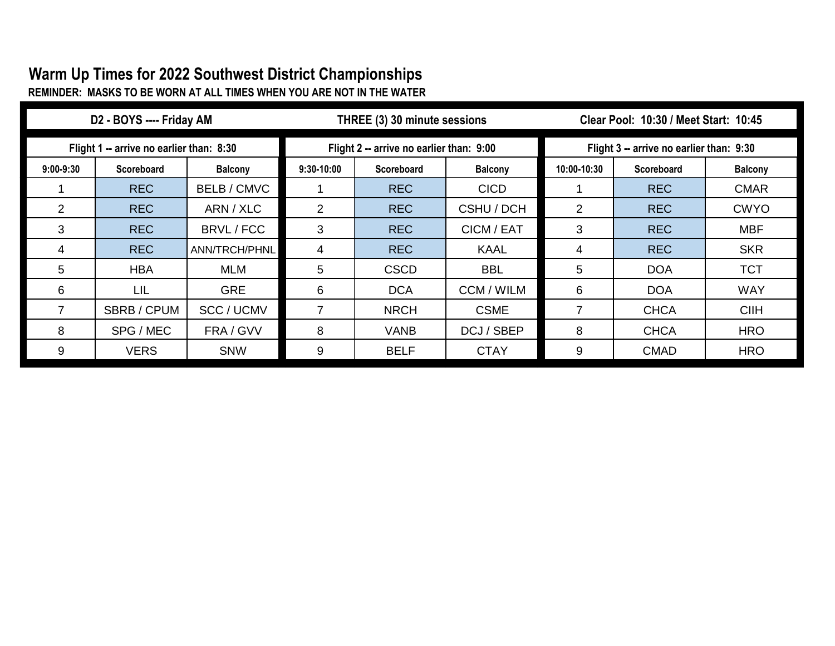## **Warm Up Times for 2022 Southwest District Championships REMINDER: MASKS TO BE WORN AT ALL TIMES WHEN YOU ARE NOT IN THE WATER**

| D2 - BOYS ---- Friday AM                 |             |                  | THREE (3) 30 minute sessions             |                   |                | Clear Pool: 10:30 / Meet Start: 10:45    |                   |                |  |
|------------------------------------------|-------------|------------------|------------------------------------------|-------------------|----------------|------------------------------------------|-------------------|----------------|--|
| Flight 1 -- arrive no earlier than: 8:30 |             |                  | Flight 2 -- arrive no earlier than: 9:00 |                   |                | Flight 3 -- arrive no earlier than: 9:30 |                   |                |  |
| $9:00 - 9:30$                            | Scoreboard  | <b>Balcony</b>   | $9:30 - 10:00$                           | <b>Scoreboard</b> | <b>Balcony</b> | 10:00-10:30                              | <b>Scoreboard</b> | <b>Balcony</b> |  |
|                                          | <b>REC</b>  | <b>BELB/CMVC</b> |                                          | <b>REC</b>        | <b>CICD</b>    |                                          | <b>REC</b>        | <b>CMAR</b>    |  |
|                                          | <b>REC</b>  | ARN / XLC        | $\overline{2}$                           | <b>REC</b>        | CSHU / DCH     | 2                                        | <b>REC</b>        | <b>CWYO</b>    |  |
| 3                                        | <b>REC</b>  | BRVL / FCC       | 3                                        | <b>REC</b>        | CICM / EAT     | 3                                        | <b>REC</b>        | <b>MBF</b>     |  |
| 4                                        | <b>REC</b>  | ANN/TRCH/PHNL    | 4                                        | <b>REC</b>        | <b>KAAL</b>    | 4                                        | <b>REC</b>        | <b>SKR</b>     |  |
| 5                                        | <b>HBA</b>  | <b>MLM</b>       | 5                                        | <b>CSCD</b>       | <b>BBL</b>     | 5                                        | <b>DOA</b>        | <b>TCT</b>     |  |
| 6                                        | LIL         | <b>GRE</b>       | 6                                        | <b>DCA</b>        | CCM / WILM     | 6                                        | <b>DOA</b>        | <b>WAY</b>     |  |
|                                          | SBRB / CPUM | SCC / UCMV       | 7                                        | <b>NRCH</b>       | <b>CSME</b>    |                                          | <b>CHCA</b>       | <b>CIIH</b>    |  |
| 8                                        | SPG / MEC   | FRA / GVV        | 8                                        | <b>VANB</b>       | DCJ / SBEP     | 8                                        | <b>CHCA</b>       | <b>HRO</b>     |  |
| 9                                        | <b>VERS</b> | <b>SNW</b>       | 9                                        | <b>BELF</b>       | <b>CTAY</b>    | 9                                        | <b>CMAD</b>       | <b>HRO</b>     |  |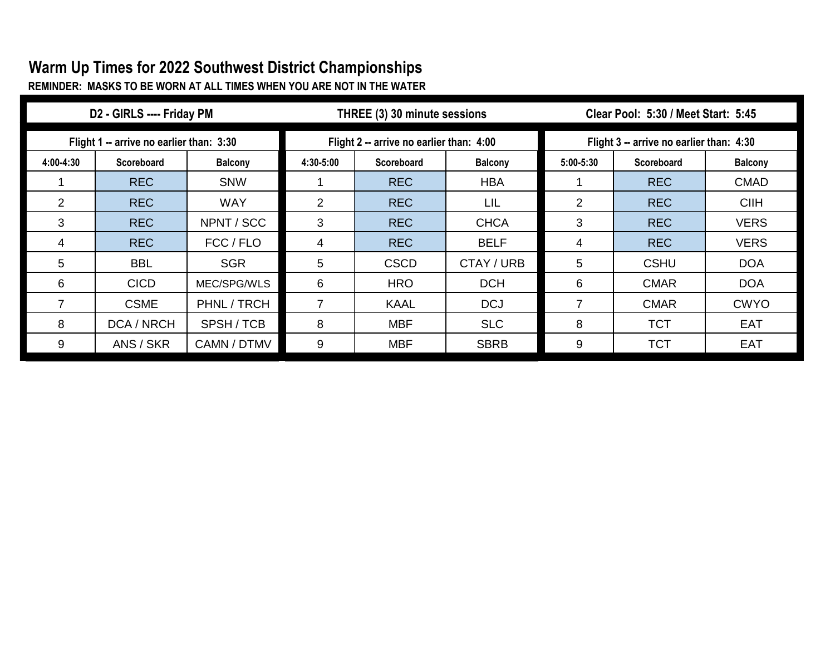## **Warm Up Times for 2022 Southwest District Championships**

**REMINDER: MASKS TO BE WORN AT ALL TIMES WHEN YOU ARE NOT IN THE WATER**

| D2 - GIRLS ---- Friday PM                |                   |                | THREE (3) 30 minute sessions             |                   |                | Clear Pool: 5:30 / Meet Start: 5:45      |             |                |  |
|------------------------------------------|-------------------|----------------|------------------------------------------|-------------------|----------------|------------------------------------------|-------------|----------------|--|
| Flight 1 -- arrive no earlier than: 3:30 |                   |                | Flight 2 -- arrive no earlier than: 4:00 |                   |                | Flight 3 -- arrive no earlier than: 4:30 |             |                |  |
| 4:00-4:30                                | <b>Scoreboard</b> | <b>Balcony</b> | 4:30-5:00                                | <b>Scoreboard</b> | <b>Balcony</b> | $5:00 - 5:30$                            | Scoreboard  | <b>Balcony</b> |  |
|                                          | <b>REC</b>        | <b>SNW</b>     |                                          | <b>REC</b>        | <b>HBA</b>     |                                          | <b>REC</b>  | <b>CMAD</b>    |  |
| $\overline{2}$                           | <b>REC</b>        | <b>WAY</b>     | $\overline{2}$                           | <b>REC</b>        | LIL            | 2                                        | <b>REC</b>  | <b>CIIH</b>    |  |
| 3                                        | <b>REC</b>        | NPNT / SCC     | 3                                        | <b>REC</b>        | <b>CHCA</b>    | 3                                        | <b>REC</b>  | <b>VERS</b>    |  |
| 4                                        | <b>REC</b>        | FCC / FLO      | 4                                        | <b>REC</b>        | <b>BELF</b>    | 4                                        | <b>REC</b>  | <b>VERS</b>    |  |
| 5                                        | <b>BBL</b>        | <b>SGR</b>     | 5                                        | <b>CSCD</b>       | CTAY / URB     | 5                                        | <b>CSHU</b> | <b>DOA</b>     |  |
| 6                                        | <b>CICD</b>       | MEC/SPG/WLS    | 6                                        | <b>HRO</b>        | <b>DCH</b>     | 6                                        | <b>CMAR</b> | <b>DOA</b>     |  |
|                                          | <b>CSME</b>       | PHNL / TRCH    | $\overline{7}$                           | <b>KAAL</b>       | <b>DCJ</b>     | 7                                        | <b>CMAR</b> | <b>CWYO</b>    |  |
| 8                                        | DCA / NRCH        | SPSH/TCB       | 8                                        | <b>MBF</b>        | <b>SLC</b>     | 8                                        | <b>TCT</b>  | <b>EAT</b>     |  |
| 9                                        | ANS / SKR         | CAMN / DTMV    | 9                                        | <b>MBF</b>        | <b>SBRB</b>    | 9                                        | <b>TCT</b>  | <b>EAT</b>     |  |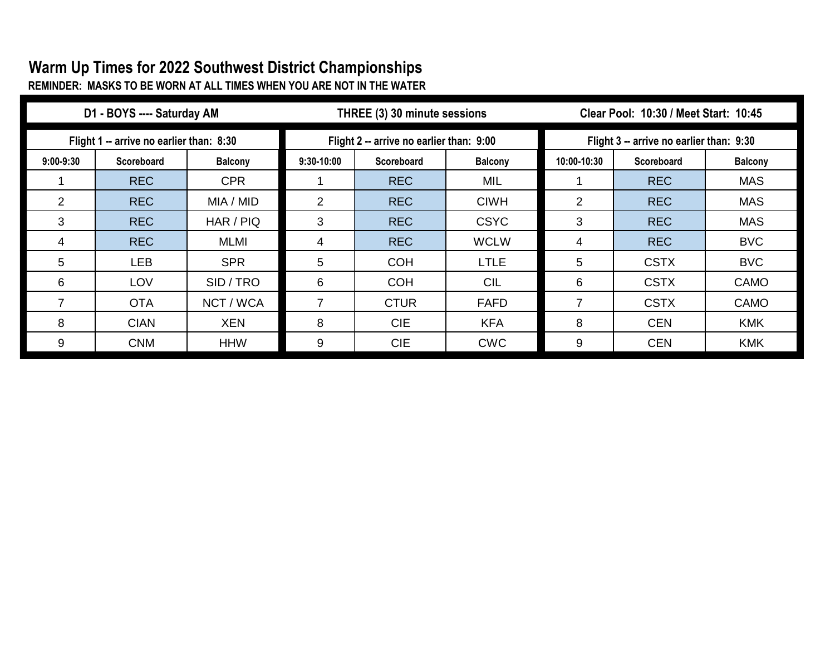## **Warm Up Times for 2022 Southwest District Championships**

**REMINDER: MASKS TO BE WORN AT ALL TIMES WHEN YOU ARE NOT IN THE WATER**

| D1 - BOYS ---- Saturday AM               |                   |                |                                          | THREE (3) 30 minute sessions |                | Clear Pool: 10:30 / Meet Start: 10:45    |                   |                |  |
|------------------------------------------|-------------------|----------------|------------------------------------------|------------------------------|----------------|------------------------------------------|-------------------|----------------|--|
| Flight 1 -- arrive no earlier than: 8:30 |                   |                | Flight 2 -- arrive no earlier than: 9:00 |                              |                | Flight 3 -- arrive no earlier than: 9:30 |                   |                |  |
| $9:00 - 9:30$                            | <b>Scoreboard</b> | <b>Balcony</b> | $9:30 - 10:00$                           | <b>Scoreboard</b>            | <b>Balcony</b> | 10:00-10:30                              | <b>Scoreboard</b> | <b>Balcony</b> |  |
|                                          | <b>REC</b>        | <b>CPR</b>     |                                          | <b>REC</b>                   | <b>MIL</b>     |                                          | <b>REC</b>        | <b>MAS</b>     |  |
| $\overline{2}$                           | <b>REC</b>        | MIA / MID      | 2                                        | <b>REC</b>                   | <b>CIWH</b>    | 2                                        | <b>REC</b>        | <b>MAS</b>     |  |
| 3                                        | <b>REC</b>        | HAR / PIQ      | 3                                        | <b>REC</b>                   | <b>CSYC</b>    | 3                                        | <b>REC</b>        | <b>MAS</b>     |  |
|                                          | <b>REC</b>        | <b>MLMI</b>    | 4                                        | <b>REC</b>                   | <b>WCLW</b>    | 4                                        | <b>REC</b>        | <b>BVC</b>     |  |
| 5                                        | LEB               | <b>SPR</b>     | 5                                        | <b>COH</b>                   | <b>LTLE</b>    | 5                                        | <b>CSTX</b>       | <b>BVC</b>     |  |
| 6                                        | LOV               | SID/TRO        | 6                                        | <b>COH</b>                   | <b>CIL</b>     | 6                                        | <b>CSTX</b>       | CAMO           |  |
|                                          | <b>OTA</b>        | NCT / WCA      | 7                                        | <b>CTUR</b>                  | <b>FAFD</b>    | 7                                        | <b>CSTX</b>       | CAMO           |  |
| 8                                        | <b>CIAN</b>       | <b>XEN</b>     | 8                                        | <b>CIE</b>                   | <b>KFA</b>     | 8                                        | <b>CEN</b>        | <b>KMK</b>     |  |
| 9                                        | <b>CNM</b>        | <b>HHW</b>     | 9                                        | <b>CIE</b>                   | <b>CWC</b>     | 9                                        | <b>CEN</b>        | <b>KMK</b>     |  |